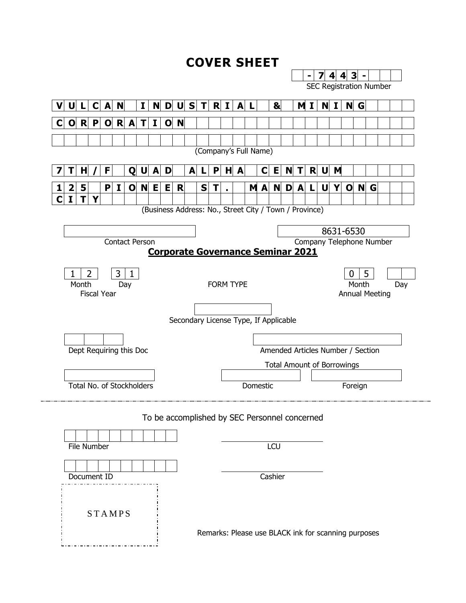#### **COVER SHEET**

|              |       |             |                    |     |                           |              |     |                     |   |   |   |   |   |                  |                                                        |              |   |                          |                                |              |                                   |                       | З        |   |   |     |  |
|--------------|-------|-------------|--------------------|-----|---------------------------|--------------|-----|---------------------|---|---|---|---|---|------------------|--------------------------------------------------------|--------------|---|--------------------------|--------------------------------|--------------|-----------------------------------|-----------------------|----------|---|---|-----|--|
|              |       |             |                    |     |                           |              |     |                     |   |   |   |   |   |                  |                                                        |              |   |                          | <b>SEC Registration Number</b> |              |                                   |                       |          |   |   |     |  |
|              |       |             |                    |     |                           |              |     |                     |   |   |   |   |   |                  |                                                        |              |   |                          |                                |              |                                   |                       |          |   |   |     |  |
|              |       | U L C       | A N                |     |                           | $\mathbf{I}$ |     | $N$ D U S T R I A L |   |   |   |   |   |                  |                                                        | $\mathbf{a}$ |   |                          | M I                            |              | N I                               |                       | N G      |   |   |     |  |
| $\mathbf{O}$ |       | $R$ $P$     | $\mathbf 0$        | R   | A                         | T            | I.  | $\mathbf{O}$        | N |   |   |   |   |                  |                                                        |              |   |                          |                                |              |                                   |                       |          |   |   |     |  |
|              |       |             |                    |     |                           |              |     |                     |   |   |   |   |   |                  |                                                        |              |   |                          |                                |              |                                   |                       |          |   |   |     |  |
|              |       |             |                    |     |                           |              |     |                     |   |   |   |   |   |                  | (Company's Full Name)                                  |              |   |                          |                                |              |                                   |                       |          |   |   |     |  |
|              |       |             |                    |     |                           |              |     |                     |   |   |   |   |   |                  |                                                        |              |   |                          |                                |              |                                   |                       |          |   |   |     |  |
|              | н     |             | F.                 |     | Q                         | $\mathsf{U}$ | A   | D                   |   | A |   | P | H | A                | $\mathbf C$                                            | Е            | N | T                        | R                              | $\mathsf{U}$ | M                                 |                       |          |   |   |     |  |
| 2            | 5     |             | $\mathbf{P}$       | I   | $\mathbf 0$               |              | N E | E                   | R |   | S | T |   |                  | M A                                                    | N            | D | A                        | L.                             | U            | Y                                 | $\mathbf 0$           | <b>N</b> |   | G |     |  |
| $\mathbf{I}$ | T     | Y           |                    |     |                           |              |     |                     |   |   |   |   |   |                  |                                                        |              |   |                          |                                |              |                                   |                       |          |   |   |     |  |
|              |       |             |                    |     |                           |              |     |                     |   |   |   |   |   |                  | (Business Address: No., Street City / Town / Province) |              |   |                          |                                |              |                                   |                       |          |   |   |     |  |
|              |       |             |                    |     |                           |              |     |                     |   |   |   |   |   |                  |                                                        |              |   |                          |                                |              |                                   |                       |          |   |   |     |  |
|              |       |             |                    |     |                           |              |     |                     |   |   |   |   |   |                  |                                                        |              |   |                          |                                |              |                                   | 8631-6530             |          |   |   |     |  |
|              |       |             |                    |     | <b>Contact Person</b>     |              |     |                     |   |   |   |   |   |                  |                                                        |              |   | Company Telephone Number |                                |              |                                   |                       |          |   |   |     |  |
|              |       |             |                    |     |                           |              |     |                     |   |   |   |   |   |                  | <b>Corporate Governance Seminar 2021</b>               |              |   |                          |                                |              |                                   |                       |          |   |   |     |  |
| 1            |       | 2           |                    | 3   | 1                         |              |     |                     |   |   |   |   |   |                  |                                                        |              |   |                          |                                |              |                                   | 0                     |          | 5 |   |     |  |
|              | Month |             |                    | Day |                           |              |     |                     |   |   |   |   |   | <b>FORM TYPE</b> |                                                        |              |   |                          |                                |              |                                   |                       | Month    |   |   | Day |  |
|              |       |             | <b>Fiscal Year</b> |     |                           |              |     |                     |   |   |   |   |   |                  |                                                        |              |   |                          |                                |              |                                   | <b>Annual Meeting</b> |          |   |   |     |  |
|              |       |             |                    |     |                           |              |     |                     |   |   |   |   |   |                  |                                                        |              |   |                          |                                |              |                                   |                       |          |   |   |     |  |
|              |       |             |                    |     |                           |              |     |                     |   |   |   |   |   |                  | Secondary License Type, If Applicable                  |              |   |                          |                                |              |                                   |                       |          |   |   |     |  |
|              |       |             |                    |     |                           |              |     |                     |   |   |   |   |   |                  |                                                        |              |   |                          |                                |              |                                   |                       |          |   |   |     |  |
|              |       |             |                    |     | Dept Requiring this Doc   |              |     |                     |   |   |   |   |   |                  | Amended Articles Number / Section                      |              |   |                          |                                |              |                                   |                       |          |   |   |     |  |
|              |       |             |                    |     |                           |              |     |                     |   |   |   |   |   |                  |                                                        |              |   |                          |                                |              |                                   |                       |          |   |   |     |  |
|              |       |             |                    |     |                           |              |     |                     |   |   |   |   |   |                  |                                                        |              |   |                          |                                |              | <b>Total Amount of Borrowings</b> |                       |          |   |   |     |  |
|              |       |             |                    |     |                           |              |     |                     |   |   |   |   |   |                  |                                                        |              |   |                          |                                |              |                                   |                       |          |   |   |     |  |
|              |       |             |                    |     |                           |              |     |                     |   |   |   |   |   |                  |                                                        |              |   |                          |                                |              |                                   |                       |          |   |   |     |  |
|              |       |             |                    |     | Total No. of Stockholders |              |     |                     |   |   |   |   |   |                  | <b>Domestic</b>                                        |              |   |                          |                                |              |                                   | Foreign               |          |   |   |     |  |
|              |       |             |                    |     |                           |              |     |                     |   |   |   |   |   |                  |                                                        |              |   |                          |                                |              |                                   |                       |          |   |   |     |  |
|              |       |             |                    |     |                           |              |     |                     |   |   |   |   |   |                  | To be accomplished by SEC Personnel concerned          |              |   |                          |                                |              |                                   |                       |          |   |   |     |  |
|              |       |             |                    |     |                           |              |     |                     |   |   |   |   |   |                  |                                                        |              |   |                          |                                |              |                                   |                       |          |   |   |     |  |
|              |       | File Number |                    |     |                           |              |     |                     |   |   |   |   |   |                  |                                                        | LCU          |   |                          |                                |              |                                   |                       |          |   |   |     |  |
|              |       |             |                    |     |                           |              |     |                     |   |   |   |   |   |                  |                                                        |              |   |                          |                                |              |                                   |                       |          |   |   |     |  |
|              |       |             |                    |     |                           |              |     |                     |   |   |   |   |   |                  |                                                        |              |   |                          |                                |              |                                   |                       |          |   |   |     |  |
|              |       |             | Document ID        |     |                           |              |     |                     |   |   |   |   |   |                  |                                                        | Cashier      |   |                          |                                |              |                                   |                       |          |   |   |     |  |
|              |       |             |                    |     |                           |              |     |                     |   |   |   |   |   |                  |                                                        |              |   |                          |                                |              |                                   |                       |          |   |   |     |  |
|              |       |             |                    |     |                           |              |     |                     |   |   |   |   |   |                  |                                                        |              |   |                          |                                |              |                                   |                       |          |   |   |     |  |
|              |       |             | <b>STAMPS</b>      |     |                           |              |     |                     |   |   |   |   |   |                  |                                                        |              |   |                          |                                |              |                                   |                       |          |   |   |     |  |
|              |       |             |                    |     |                           |              |     |                     |   |   |   |   |   |                  | Remarks: Please use BLACK ink for scanning purposes    |              |   |                          |                                |              |                                   |                       |          |   |   |     |  |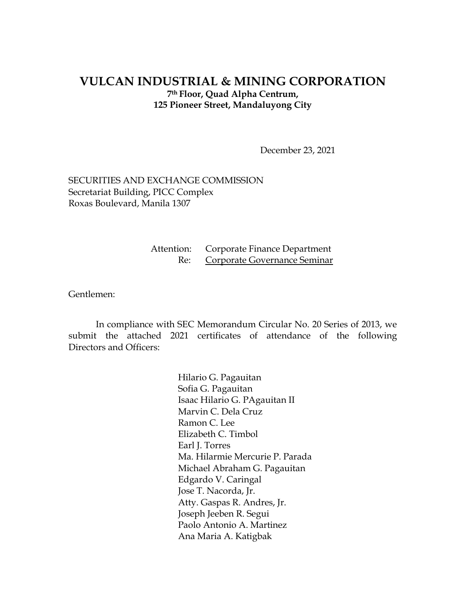#### **VULCAN INDUSTRIAL & MINING CORPORATION 7th Floor, Quad Alpha Centrum, 125 Pioneer Street, Mandaluyong City**

December 23, 2021

SECURITIES AND EXCHANGE COMMISSION Secretariat Building, PICC Complex Roxas Boulevard, Manila 1307

> Attention: Corporate Finance Department Re: Corporate Governance Seminar

Gentlemen:

In compliance with SEC Memorandum Circular No. 20 Series of 2013, we submit the attached 2021 certificates of attendance of the following Directors and Officers:

> Hilario G. Pagauitan Sofia G. Pagauitan Isaac Hilario G. PAgauitan II Marvin C. Dela Cruz Ramon C. Lee Elizabeth C. Timbol Earl J. Torres Ma. Hilarmie Mercurie P. Parada Michael Abraham G. Pagauitan Edgardo V. Caringal Jose T. Nacorda, Jr. Atty. Gaspas R. Andres, Jr. Joseph Jeeben R. Segui Paolo Antonio A. Martinez Ana Maria A. Katigbak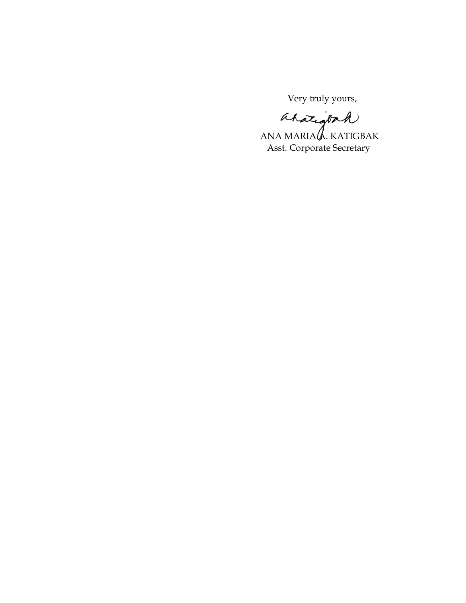Very truly yours,

ahatigook

ANA MARIA $\mathcal A$ . KATIGBAK Asst. Corporate Secretary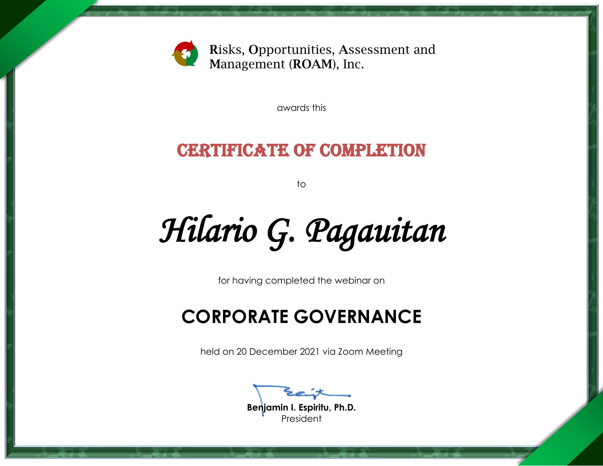

awards this

### CERTIFICATE OF COMPLETION

to

*Hilario G. Pagauitan* 

for having completed the webinar on

## **CORPORATE GOVERNANCE**

held on 20 December 2021 via Zoom Meeting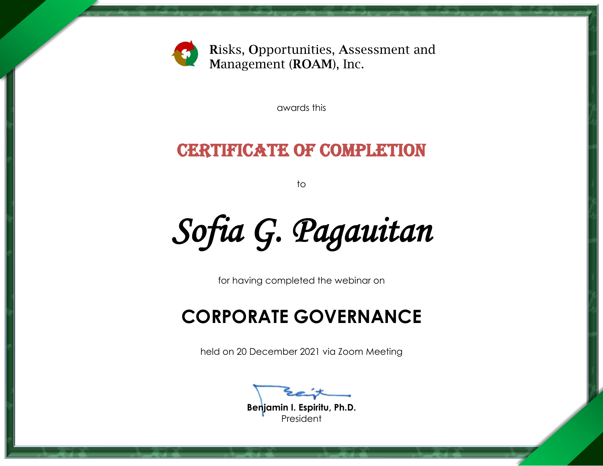

awards this

### CERTIFICATE OF COMPLETION

to

*Sofia G. Pagauitan* 

for having completed the webinar on

## **CORPORATE GOVERNANCE**

held on 20 December 2021 via Zoom Meeting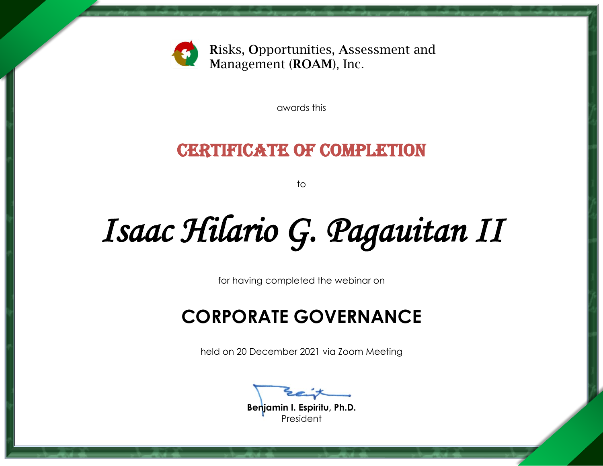

awards this

### CERTIFICATE OF COMPLETION

to

# *Isaac Hilario G. Pagauitan II*

for having completed the webinar on

## **CORPORATE GOVERNANCE**

held on 20 December 2021 via Zoom Meeting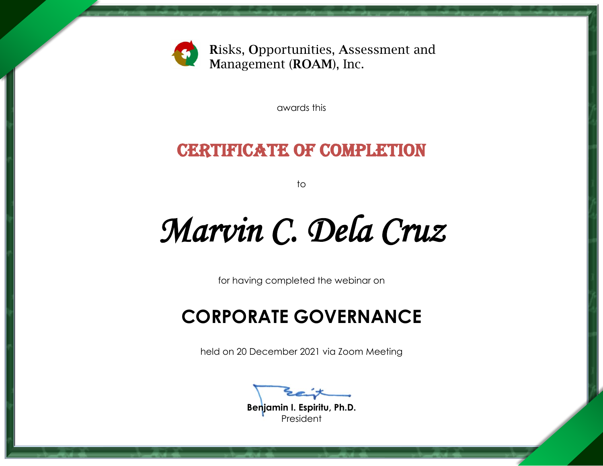

awards this

### CERTIFICATE OF COMPLETION

to

## *Marvin C. Dela Cruz*

for having completed the webinar on

## **CORPORATE GOVERNANCE**

held on 20 December 2021 via Zoom Meeting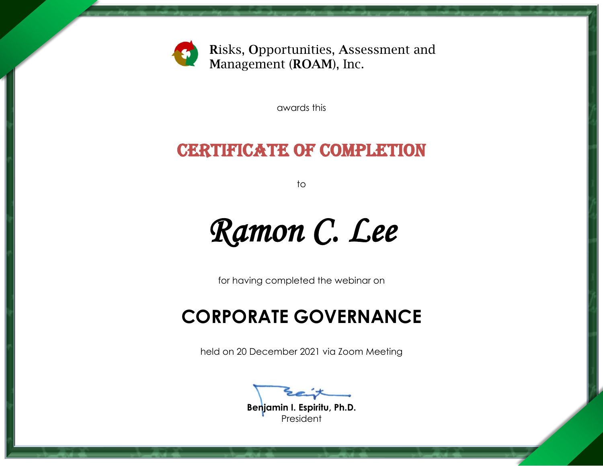

awards this

### CERTIFICATE OF COMPLETION

to

*Ramon C. Lee* 

for having completed the webinar on

### **CORPORATE GOVERNANCE**

held on 20 December 2021 via Zoom Meeting

**Benjamin I. Espiritu, Ph.D.**

President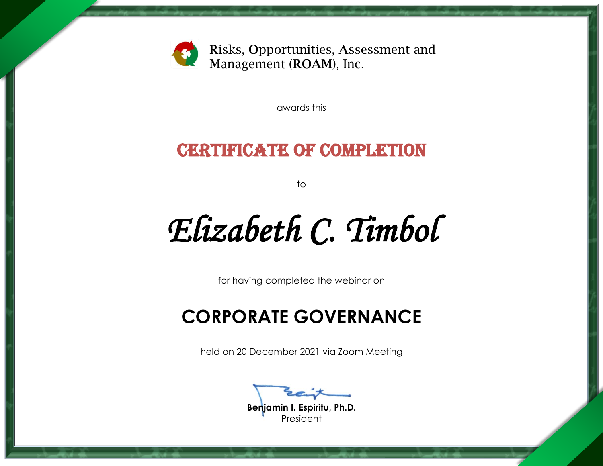

awards this

### CERTIFICATE OF COMPLETION

to

*Elizabeth C. Timbol* 

for having completed the webinar on

## **CORPORATE GOVERNANCE**

held on 20 December 2021 via Zoom Meeting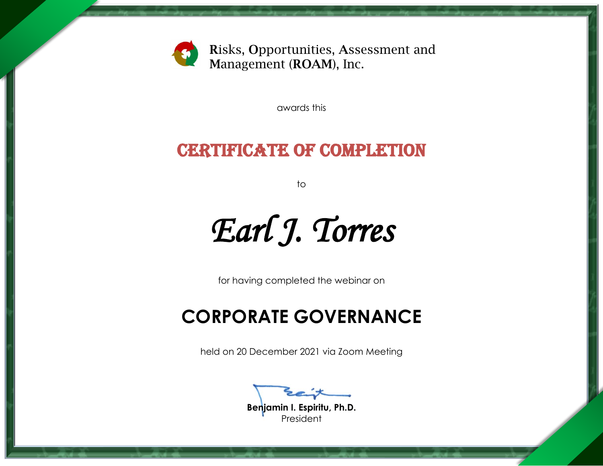

awards this

### CERTIFICATE OF COMPLETION

to

*Earl J. Torres* 

for having completed the webinar on

## **CORPORATE GOVERNANCE**

held on 20 December 2021 via Zoom Meeting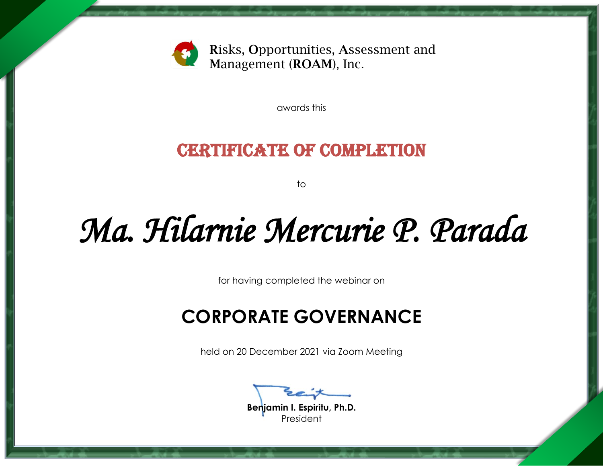

awards this

#### CERTIFICATE OF COMPLETION

to

## *Ma. Hilarnie Mercurie P. Parada*

for having completed the webinar on

## **CORPORATE GOVERNANCE**

held on 20 December 2021 via Zoom Meeting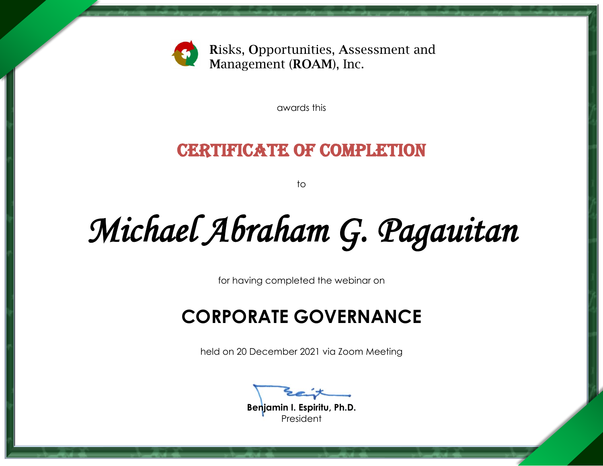

awards this

### CERTIFICATE OF COMPLETION

to

# *Michael Abraham G. Pagauitan*

for having completed the webinar on

## **CORPORATE GOVERNANCE**

held on 20 December 2021 via Zoom Meeting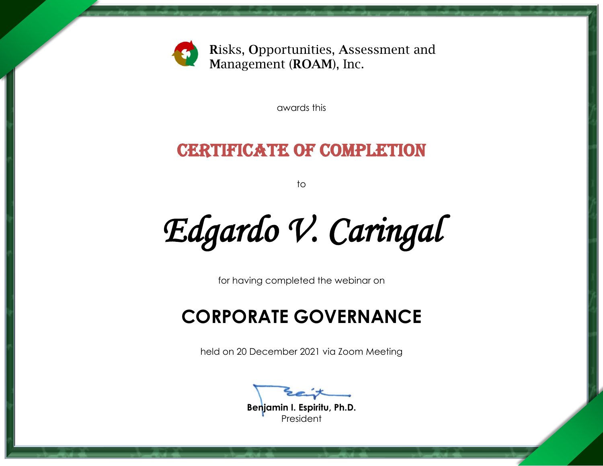

awards this

### CERTIFICATE OF COMPLETION

to

*Edgardo V. Caringal* 

for having completed the webinar on

## **CORPORATE GOVERNANCE**

held on 20 December 2021 via Zoom Meeting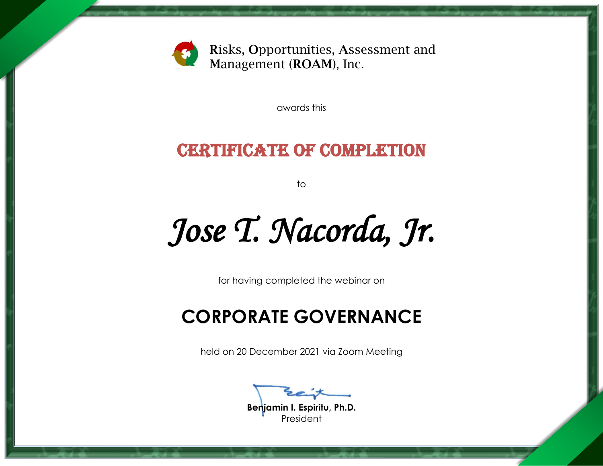

awards this

### CERTIFICATE OF COMPLETION

to

*Jose T. Nacorda, Jr.* 

for having completed the webinar on

## **CORPORATE GOVERNANCE**

held on 20 December 2021 via Zoom Meeting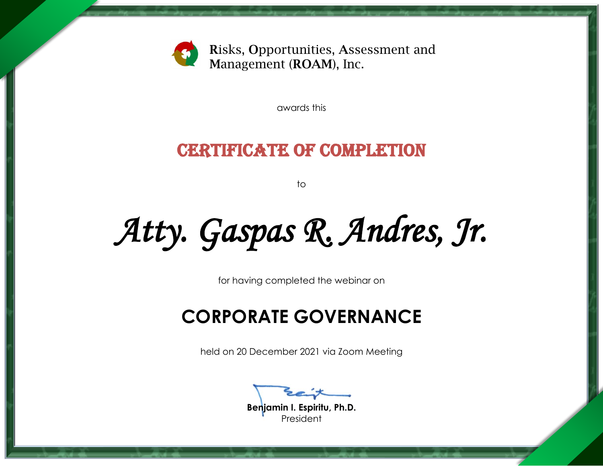

awards this

### CERTIFICATE OF COMPLETION

to

*Atty. Gaspas R. Andres, Jr.* 

for having completed the webinar on

## **CORPORATE GOVERNANCE**

held on 20 December 2021 via Zoom Meeting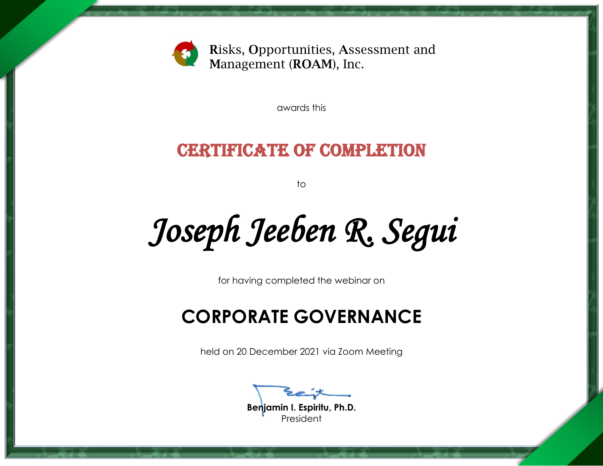

awards this

### CERTIFICATE OF COMPLETION

to

*Joseph Jeeben R. Segui* 

for having completed the webinar on

### **CORPORATE GOVERNANCE**

held on 20 December 2021 via Zoom Meeting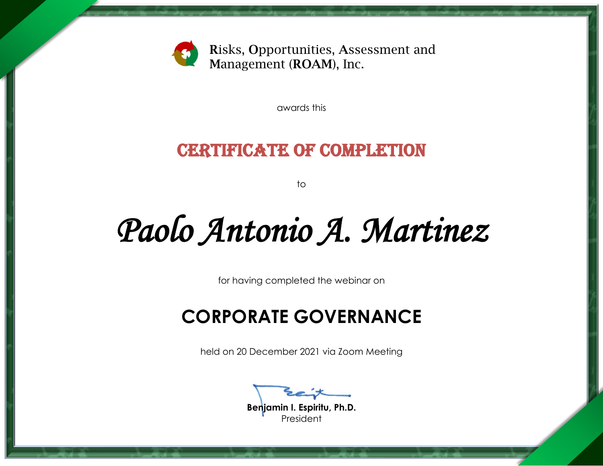

awards this

### CERTIFICATE OF COMPLETION

to

## *Paolo Antonio A. Martinez*

for having completed the webinar on

## **CORPORATE GOVERNANCE**

held on 20 December 2021 via Zoom Meeting